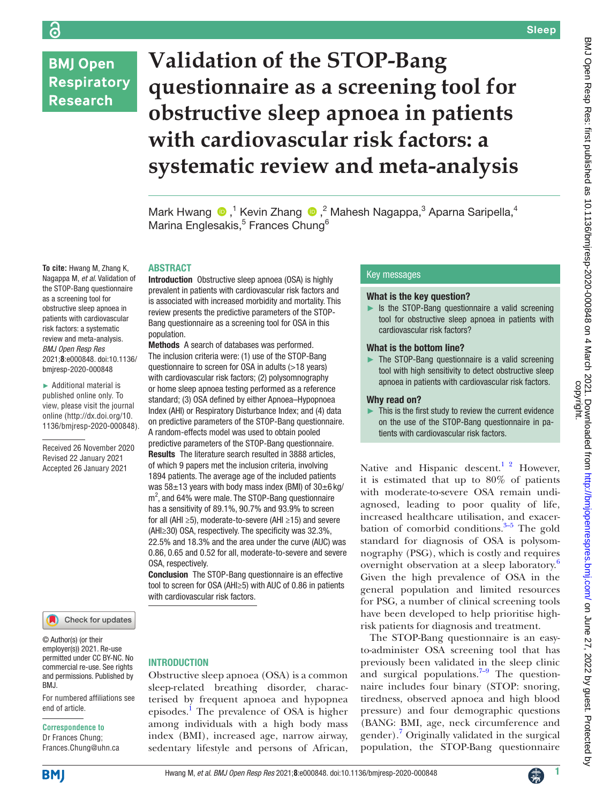## **BMJ Open Respiratory Research**

**To cite:** Hwang M, Zhang K, Nagappa M, *et al*. Validation of the STOP-Bang questionnaire as a screening tool for obstructive sleep apnoea in patients with cardiovascular risk factors: a systematic review and meta-analysis. *BMJ Open Resp Res* 2021;**8**:e000848. doi:10.1136/ bmjresp-2020-000848 ► Additional material is published online only. To view, please visit the journal online [\(http://dx.doi.org/10.](http://dx.doi.org/10.1136/bmjresp-2020-000848) [1136/bmjresp-2020-000848](http://dx.doi.org/10.1136/bmjresp-2020-000848)).

Received 26 November 2020 Revised 22 January 2021 Accepted 26 January 2021

# **Validation of the STOP-Bang questionnaire as a screening tool for obstructive sleep apnoea in patients with cardiovascular risk factors: a systematic review and meta-analysis**

MarkHwang  $\bigcirc$ ,<sup>1</sup> Kevin Zhang  $\bigcirc$ ,<sup>2</sup> Mahesh Nagappa,<sup>3</sup> Aparna Saripella,<sup>4</sup> Marina Englesakis,<sup>5</sup> Frances Chung<sup>6</sup>

### **ABSTRACT**

Introduction Obstructive sleep apnoea (OSA) is highly prevalent in patients with cardiovascular risk factors and is associated with increased morbidity and mortality. This review presents the predictive parameters of the STOP-Bang questionnaire as a screening tool for OSA in this population.

Methods A search of databases was performed. The inclusion criteria were: (1) use of the STOP-Bang questionnaire to screen for OSA in adults (>18 years) with cardiovascular risk factors; (2) polysomnography or home sleep apnoea testing performed as a reference standard; (3) OSA defined by either Apnoea–Hypopnoea Index (AHI) or Respiratory Disturbance Index; and (4) data on predictive parameters of the STOP-Bang questionnaire. A random-effects model was used to obtain pooled predictive parameters of the STOP-Bang questionnaire. Results The literature search resulted in 3888 articles, of which 9 papers met the inclusion criteria, involving 1894 patients. The average age of the included patients was  $58\pm13$  years with body mass index (BMI) of  $30\pm6$  kg/  $m<sup>2</sup>$ , and 64% were male. The STOP-Bang questionnaire has a sensitivity of 89.1%, 90.7% and 93.9% to screen for all (AHI ≥5), moderate-to-severe (AHI ≥15) and severe (AHI≥30) OSA, respectively. The specificity was 32.3%, 22.5% and 18.3% and the area under the curve (AUC) was 0.86, 0.65 and 0.52 for all, moderate-to-severe and severe OSA, respectively.

Conclusion The STOP-Bang questionnaire is an effective tool to screen for OSA (AHI≥5) with AUC of 0.86 in patients with cardiovascular risk factors.

### Check for updates

© Author(s) (or their employer(s)) 2021. Re-use permitted under CC BY-NC. No commercial re-use. See rights and permissions. Published by BMJ.

For numbered affiliations see end of article.

### **Correspondence to**

Dr Frances Chung; Frances.Chung@uhn.ca

### **INTRODUCTION**

Obstructive sleep apnoea (OSA) is a common sleep-related breathing disorder, characterised by frequent apnoea and hypopnea episodes.<sup>1</sup> The prevalence of OSA is higher among individuals with a high body mass index (BMI), increased age, narrow airway, sedentary lifestyle and persons of African,

### Key messages

### What is the key question?

► Is the STOP-Bang questionnaire a valid screening tool for obstructive sleep apnoea in patients with cardiovascular risk factors?

### What is the bottom line?

The STOP-Bang questionnaire is a valid screening tool with high sensitivity to detect obstructive sleep apnoea in patients with cardiovascular risk factors.

### Why read on?

This is the first study to review the current evidence on the use of the STOP-Bang questionnaire in patients with cardiovascular risk factors.

Native and Hispanic descent.<sup>1</sup> <sup>2</sup> However, it is estimated that up to 80% of patients with moderate-to-severe OSA remain undiagnosed, leading to poor quality of life, increased healthcare utilisation, and exacerbation of comorbid conditions. $3-5$  The gold standard for diagnosis of OSA is polysomnography (PSG), which is costly and requires overnight observation at a sleep laboratory.<sup>[6](#page-6-2)</sup> Given the high prevalence of OSA in the general population and limited resources for PSG, a number of clinical screening tools have been developed to help prioritise highrisk patients for diagnosis and treatment.

The STOP-Bang questionnaire is an easyto-administer OSA screening tool that has previously been validated in the sleep clinic and surgical populations. $7-9$  The questionnaire includes four binary (STOP: snoring, tiredness, observed apnoea and high blood pressure) and four demographic questions (BANG: BMI, age, neck circumference and gender).<sup>[7](#page-6-3)</sup> Originally validated in the surgical population, the STOP-Bang questionnaire

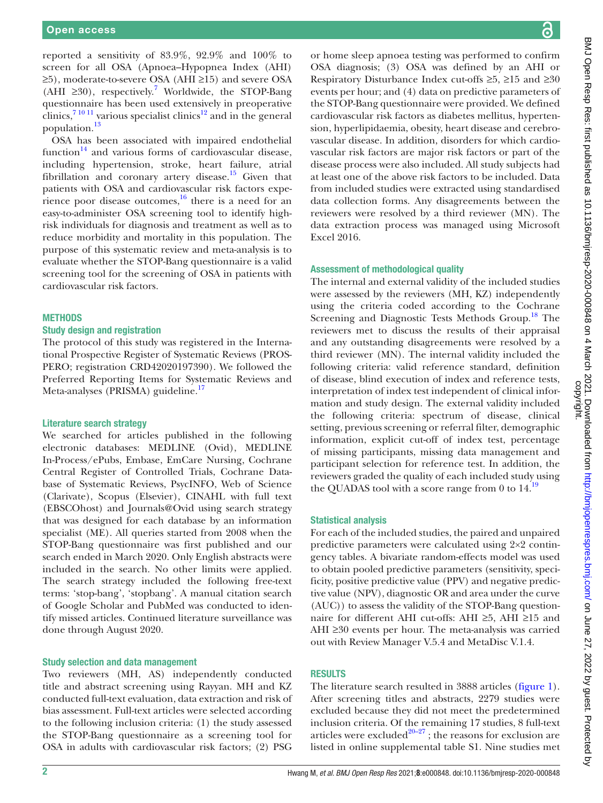reported a sensitivity of 83.9%, 92.9% and 100% to screen for all OSA (Apnoea–Hypopnea Index (AHI) ≥5), moderate-to-severe OSA (AHI ≥15) and severe OSA (AHI ≥30), respectively.<sup>7</sup> Worldwide, the STOP-Bang questionnaire has been used extensively in preoperative clinics,<sup>7 10 11</sup> various specialist clinics<sup>12</sup> and in the general population.<sup>[13](#page-7-1)</sup>

OSA has been associated with impaired endothelial function<sup>14</sup> and various forms of cardiovascular disease, including hypertension, stroke, heart failure, atrial fibrillation and coronary artery disease.<sup>15</sup> Given that patients with OSA and cardiovascular risk factors experience poor disease outcomes, $16$  there is a need for an easy-to-administer OSA screening tool to identify highrisk individuals for diagnosis and treatment as well as to reduce morbidity and mortality in this population. The purpose of this systematic review and meta-analysis is to evaluate whether the STOP-Bang questionnaire is a valid screening tool for the screening of OSA in patients with cardiovascular risk factors.

### **METHODS**

### Study design and registration

The protocol of this study was registered in the International Prospective Register of Systematic Reviews (PROS-PERO; registration CRD42020197390). We followed the Preferred Reporting Items for Systematic Reviews and Meta-analyses (PRISMA) guideline.<sup>[17](#page-7-5)</sup>

### Literature search strategy

We searched for articles published in the following electronic databases: MEDLINE (Ovid), MEDLINE In-Process/ePubs, Embase, EmCare Nursing, Cochrane Central Register of Controlled Trials, Cochrane Database of Systematic Reviews, PsycINFO, Web of Science (Clarivate), Scopus (Elsevier), CINAHL with full text (EBSCOhost) and Journals@Ovid using search strategy that was designed for each database by an information specialist (ME). All queries started from 2008 when the STOP-Bang questionnaire was first published and our search ended in March 2020. Only English abstracts were included in the search. No other limits were applied. The search strategy included the following free-text terms: 'stop-bang', 'stopbang'. A manual citation search of Google Scholar and PubMed was conducted to identify missed articles. Continued literature surveillance was done through August 2020.

### Study selection and data management

Two reviewers (MH, AS) independently conducted title and abstract screening using Rayyan. MH and KZ conducted full-text evaluation, data extraction and risk of bias assessment. Full-text articles were selected according to the following inclusion criteria: (1) the study assessed the STOP-Bang questionnaire as a screening tool for OSA in adults with cardiovascular risk factors; (2) PSG

or home sleep apnoea testing was performed to confirm OSA diagnosis; (3) OSA was defined by an AHI or Respiratory Disturbance Index cut-offs ≥5, ≥15 and ≥30 events per hour; and (4) data on predictive parameters of the STOP-Bang questionnaire were provided. We defined cardiovascular risk factors as diabetes mellitus, hypertension, hyperlipidaemia, obesity, heart disease and cerebrovascular disease. In addition, disorders for which cardiovascular risk factors are major risk factors or part of the disease process were also included. All study subjects had at least one of the above risk factors to be included. Data from included studies were extracted using standardised data collection forms. Any disagreements between the reviewers were resolved by a third reviewer (MN). The data extraction process was managed using Microsoft Excel 2016.

### Assessment of methodological quality

The internal and external validity of the included studies were assessed by the reviewers (MH, KZ) independently using the criteria coded according to the Cochrane Screening and Diagnostic Tests Methods Group.<sup>[18](#page-7-6)</sup> The reviewers met to discuss the results of their appraisal and any outstanding disagreements were resolved by a third reviewer (MN). The internal validity included the following criteria: valid reference standard, definition of disease, blind execution of index and reference tests, interpretation of index test independent of clinical information and study design. The external validity included the following criteria: spectrum of disease, clinical setting, previous screening or referral filter, demographic information, explicit cut-off of index test, percentage of missing participants, missing data management and participant selection for reference test. In addition, the reviewers graded the quality of each included study using the QUADAS tool with a score range from 0 to  $14$ .<sup>19</sup>

### Statistical analysis

For each of the included studies, the paired and unpaired predictive parameters were calculated using 2×2 contingency tables. A bivariate random-effects model was used to obtain pooled predictive parameters (sensitivity, specificity, positive predictive value (PPV) and negative predictive value (NPV), diagnostic OR and area under the curve (AUC)) to assess the validity of the STOP-Bang questionnaire for different AHI cut-offs: AHI ≥5, AHI ≥15 and AHI ≥30 events per hour. The meta-analysis was carried out with Review Manager V.5.4 and MetaDisc V.1.4.

### RESULTS

The literature search resulted in 3888 articles [\(figure](#page-2-0) 1). After screening titles and abstracts, 2279 studies were excluded because they did not meet the predetermined inclusion criteria. Of the remaining 17 studies, 8 full-text articles were excluded<sup>20-27</sup>; the reasons for exclusion are listed in [online supplemental table S1](https://dx.doi.org/10.1136/bmjresp-2020-000848). Nine studies met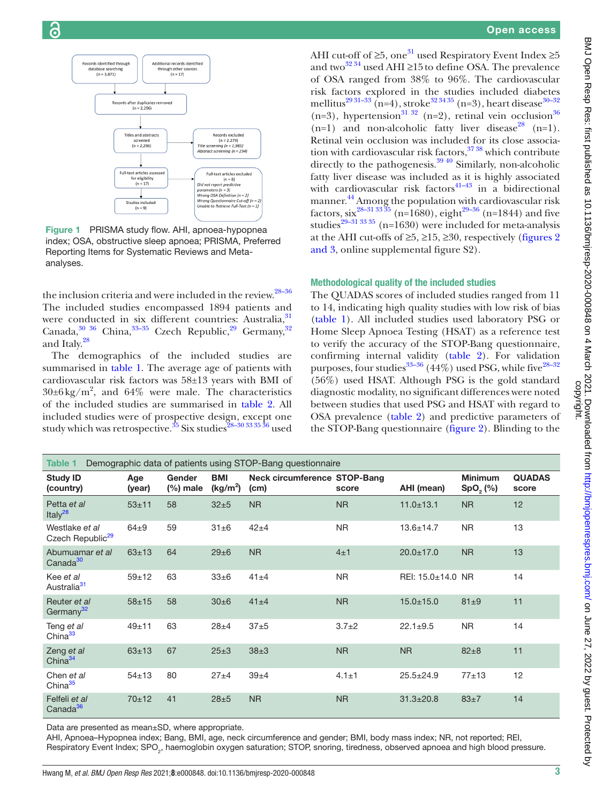

<span id="page-2-0"></span>Figure 1 PRISMA study flow. AHI, apnoea-hypopnea index; OSA, obstructive sleep apnoea; PRISMA, Preferred Reporting Items for Systematic Reviews and Metaanalyses.

the inclusion criteria and were included in the review.<sup>28–36</sup> The included studies encompassed 1894 patients and were conducted in six different countries: Australia, <sup>[31](#page-7-10)</sup> Canada,  $30^{36}$  China,  $33-35$  Czech Republic,  $29$  Germany,  $32$ and Italy.[28](#page-7-9)

The demographics of the included studies are summarised in [table](#page-2-1) 1. The average age of patients with cardiovascular risk factors was 58±13 years with BMI of  $30\pm6\,\text{kg/m}^2$ , and  $64\%$  were male. The characteristics of the included studies are summarised in [table](#page-3-0) 2. All included studies were of prospective design, except one study which was retrospective.<sup>35</sup> Six studies<sup>28-30 33 35</sup> 36 used

AHI cut-off of  $\geq 5$ , one<sup>[31](#page-7-10)</sup> used Respiratory Event Index  $\geq 5$ and two<sup>32 34</sup> used AHI ≥15 to define OSA. The prevalence of OSA ranged from 38% to 96%. The cardiovascular risk factors explored in the studies included diabetes mellitus<sup>29 31–33</sup> (n=4), stroke<sup>32 34 35</sup> (n=3), heart disease<sup>30–32</sup> (n=3), hypertension<sup>31 32</sup> (n=2), retinal vein occlusion<sup>36</sup>  $(n=1)$  and non-alcoholic fatty liver disease<sup>[28](#page-7-9)</sup>  $(n=1)$ . Retinal vein occlusion was included for its close association with cardiovascular risk factors,  $37\,38$  which contribute directly to the pathogenesis.<sup>[39 40](#page-7-18)</sup> Similarly, non-alcoholic fatty liver disease was included as it is highly associated with cardiovascular risk factors $41-43$  in a bidirectional manner.[44](#page-7-20) Among the population with cardiovascular risk factors, six<sup>28–31 33 35</sup> (n=1680), eight<sup>29–36</sup> (n=1844) and five studies<sup>[29–31 33 35](#page-7-13)</sup> (n=1630) were included for meta-analysis at the AHI cut-offs of  $\geq 5$ ,  $\geq 15$ ,  $\geq 30$ , respectively ([figures](#page-4-0) 2) [and 3](#page-4-0), [online supplemental figure S2](https://dx.doi.org/10.1136/bmjresp-2020-000848)).

### Methodological quality of the included studies

The QUADAS scores of included studies ranged from 11 to 14, indicating high quality studies with low risk of bias [\(table](#page-2-1) 1). All included studies used laboratory PSG or Home Sleep Apnoea Testing (HSAT) as a reference test to verify the accuracy of the STOP-Bang questionnaire, confirming internal validity ([table](#page-3-0) 2). For validation purposes, four studies<sup>33–36</sup> (44%) used PSG, while five<sup>28–32</sup> (56%) used HSAT. Although PSG is the gold standard diagnostic modality, no significant differences were noted between studies that used PSG and HSAT with regard to OSA prevalence [\(table](#page-3-0) 2) and predictive parameters of the STOP-Bang questionnaire ([figure](#page-4-0) 2). Blinding to the

<span id="page-2-1"></span>

| Demographic data of patients using STOP-Bang questionnaire<br>Table 1 |               |                       |                                    |                                      |             |                   |                                  |                        |
|-----------------------------------------------------------------------|---------------|-----------------------|------------------------------------|--------------------------------------|-------------|-------------------|----------------------------------|------------------------|
| <b>Study ID</b><br>(country)                                          | Age<br>(year) | Gender<br>$(\%)$ male | <b>BMI</b><br>(kg/m <sup>2</sup> ) | Neck circumference STOP-Bang<br>(cm) | score       | AHI (mean)        | <b>Minimum</b><br>$SpO,$ $(\% )$ | <b>QUADAS</b><br>score |
| Petta et al<br>Italy <sup>28</sup>                                    | $53 + 11$     | 58                    | $32 + 5$                           | <b>NR</b>                            | <b>NR</b>   | $11.0 \pm 13.1$   | <b>NR</b>                        | 12                     |
| Westlake et al<br>Czech Republic <sup>29</sup>                        | $64\pm9$      | 59                    | $31\pm 6$                          | $42\pm4$                             | <b>NR</b>   | $13.6 \pm 14.7$   | <b>NR</b>                        | 13                     |
| Abumuamar et al<br>Canada <sup>30</sup>                               | $63 + 13$     | 64                    | $29\pm 6$                          | <b>NR</b>                            | 4±1         | $20.0 \pm 17.0$   | <b>NR</b>                        | 13                     |
| Kee et al<br>Australia <sup>31</sup>                                  | $59 + 12$     | 63                    | $33\pm 6$                          | $41 + 4$                             | <b>NR</b>   | REI: 15.0±14.0 NR |                                  | 14                     |
| Reuter et al<br>Germany <sup>32</sup>                                 | $58 + 15$     | 58                    | $30\pm 6$                          | $41\pm4$                             | <b>NR</b>   | $15.0 \pm 15.0$   | $81\pm9$                         | 11                     |
| Teng et al<br>China <sup>33</sup>                                     | $49 + 11$     | 63                    | $28 + 4$                           | $37 + 5$                             | $3.7+2$     | $22.1 \pm 9.5$    | <b>NR</b>                        | 14                     |
| Zeng et al<br>China $34$                                              | $63 + 13$     | 67                    | $25 \pm 3$                         | $38\pm3$                             | <b>NR</b>   | <b>NR</b>         | $82 + 8$                         | 11                     |
| Chen et al<br>China <sup>35</sup>                                     | $54 + 13$     | 80                    | $27 + 4$                           | $39\pm4$                             | $4.1 \pm 1$ | $25.5 \pm 24.9$   | $77 + 13$                        | 12                     |
| Felfeli et al<br>Canada <sup>36</sup>                                 | $70+12$       | 41                    | $28\pm5$                           | <b>NR</b>                            | <b>NR</b>   | $31.3 \pm 20.8$   | $83\pm7$                         | 14                     |

Data are presented as mean±SD, where appropriate.

AHI, Apnoea–Hypopnea index; Bang, BMI, age, neck circumference and gender; BMI, body mass index; NR, not reported; REI, Respiratory Event Index; SPO<sub>2</sub>, haemoglobin oxygen saturation; STOP, snoring, tiredness, observed apnoea and high blood pressure.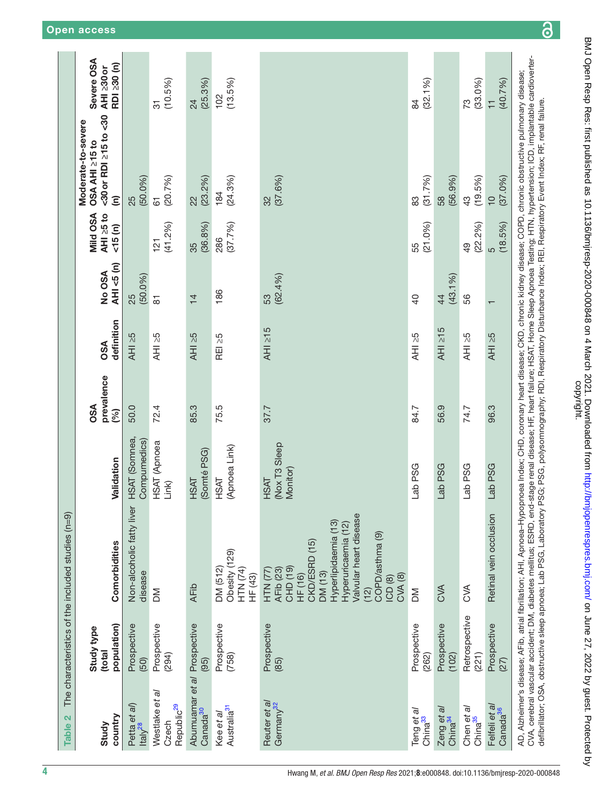<span id="page-3-0"></span>

| $\mathbf{\Omega}$<br>Table:                         |                                     | The characteristics of the included studies (n=9)                                                                                                                                                                                                                                                                                                                                                                                                                                                                                                                            |                                          |                                 |                   |                           |                                |                                                                                       |                                         |
|-----------------------------------------------------|-------------------------------------|------------------------------------------------------------------------------------------------------------------------------------------------------------------------------------------------------------------------------------------------------------------------------------------------------------------------------------------------------------------------------------------------------------------------------------------------------------------------------------------------------------------------------------------------------------------------------|------------------------------------------|---------------------------------|-------------------|---------------------------|--------------------------------|---------------------------------------------------------------------------------------|-----------------------------------------|
| country<br>Study                                    | population)<br>Study type<br>(total | Comorbidities                                                                                                                                                                                                                                                                                                                                                                                                                                                                                                                                                                | Validation                               | prevalence<br><b>OSA</b><br>(%) | definition<br>OSA | AHI <5 (n)<br>No OSA      | Mild OSA<br>AHI ≥5 to<br>15(n) | <30 or RDI ≥15 to <30<br>Moderate-to-severe<br>OSA AHI 215 to<br>$\widehat{\epsilon}$ | Severe OSA<br>RDI 230 (n)<br>AHI ≥30 or |
| Petta et al)<br>Italy <sup>28</sup>                 | Prospective<br>(50)                 | Non-alcoholic fatty liver<br>disease                                                                                                                                                                                                                                                                                                                                                                                                                                                                                                                                         | HSAT (Somnea,<br>Compumedics)            | 50.0                            | AHI 25            | (50.0%)<br>25             |                                | (50.0%)<br>25                                                                         |                                         |
| Westlake et al<br>Republic <sup>29</sup><br>Czech   | Prospective<br>(294)                | ΣÑ                                                                                                                                                                                                                                                                                                                                                                                                                                                                                                                                                                           | HSAT (Apnoea<br>Link)                    | 72.4                            | AHI 25            | 81                        | (41.2%)<br>121                 | (20.7%)<br>61                                                                         | (10.5%)<br>51                           |
| Abumuamar et al Prospective<br>Canada <sup>30</sup> | (95)                                | <b>AFib</b>                                                                                                                                                                                                                                                                                                                                                                                                                                                                                                                                                                  | (Somté PSG)<br><b>HSAT</b>               | 85.3                            | AHI 25            | $\frac{1}{4}$             | (36.8%)<br>35                  | (23.2%)<br>$\frac{2}{3}$                                                              | (25.3%)<br>$\overline{24}$              |
| Australia <sup>31</sup><br>Kee et al                | Prospective<br>(758)                | Obesity (129)<br>DM (512)<br>HTN (74)<br>HF (43)                                                                                                                                                                                                                                                                                                                                                                                                                                                                                                                             | (Apnoea Link)<br><b>HSAT</b>             | 75.5                            | REI ≥5            | 186                       | (37.7%)<br>286                 | (24.3%)<br>184                                                                        | (13.5%)<br>102                          |
| Reuter et al<br>Germany <sup>32</sup>               | Prospective<br>(85)                 | Valvular heart disease<br>Hyperlipidaemia (13)<br>Hyperuricaemia (12)<br>COPD/asthma (9)<br>CKD/ESRD (15)<br>CHD (19)<br>AFib (23)<br>HTN(77)<br>DM (13)<br>HF(16)<br>CMA(8)<br>ICD <sub>(8)</sub><br>(2)                                                                                                                                                                                                                                                                                                                                                                    | (Nox T3 Sleep<br>Monitor)<br><b>HSAT</b> | 37.7                            | AHI 215           | (62.4%)<br>53             |                                | (37.6%)<br>32                                                                         |                                         |
| Teng et al<br>China <sup>33</sup>                   | Prospective<br>(262)                | MQ                                                                                                                                                                                                                                                                                                                                                                                                                                                                                                                                                                           | Lab PSG                                  | 84.7                            | AHI >5            | $\overline{a}$            | (21.0%)<br>55                  | (31.7%)<br>83                                                                         | (32.1%)<br>84                           |
| Zeng et al<br>China <sup>34</sup>                   | Prospective<br>(102)                | <b>SVA</b>                                                                                                                                                                                                                                                                                                                                                                                                                                                                                                                                                                   | Lab PSG                                  | 56.9                            | $AHI \geq 15$     | (43.1%)<br>$\overline{4}$ |                                | (56.9%)<br>58                                                                         |                                         |
| Chen et al<br>China <sup>35</sup>                   | Retrospective<br>(221)              | $rac{1}{\sqrt{2}}$                                                                                                                                                                                                                                                                                                                                                                                                                                                                                                                                                           | Lab PSG                                  | 74.7                            | $AHI \geq 5$      | 56                        | (22.2%)<br>$\overline{6}$      | (19.5%)<br>$\frac{3}{4}$                                                              | (33.0%)<br>73                           |
| Felfeli et al<br>Canada <sup>36</sup>               | Prospective<br>(27)                 | Retinal vein occlusion                                                                                                                                                                                                                                                                                                                                                                                                                                                                                                                                                       | Lab PSG                                  | 96.3                            | AHI 25            |                           | (18.5%)<br>ဖ                   | (37.0%)<br>$\frac{1}{2}$                                                              | (40.7%)<br>$\overline{1}$               |
|                                                     |                                     | CVA, cerebral vascular accident; DM, diabetes mellitus; ESRD, end-stage renal disease; HF, heart failure; HSAT, Home Sleep Apnoea Testing; HTN, hypertension; ICD, implantable cardioverter-<br>AD, Alzheimer's disease; AFib, atrial fibrillation; AHI, Apnoea-Hypopnoea Index; CHD, coronary heart disease; CKD, chronic kidney disease; COPD, chronic obstructive pulmonary disease;<br>defibrillator; OSA, obstructive sleep apnoea; Lab PSG, Laboratory PSG; PSG, polysomnography; RDI, Respiratory Disturbance Index; REI, Respiratory Event Index; RF, renal failure. |                                          |                                 |                   |                           |                                |                                                                                       |                                         |

# BMJ Open Resp Res: first published as 10.1136/bmjresp-2020-000848 on 4 March 2021. Downloaded from http://bmjopenrespres.bmj.com/ on June 27, 2022 by guest. Protected by<br>copyright. BMJ Open Resp Res: first published as 10.1136/bmjresp-2020-000848 on 4 March 2021. Downloaded from loam Resprespres.bmj.com/ on June 27, 2022 by guest. Protected by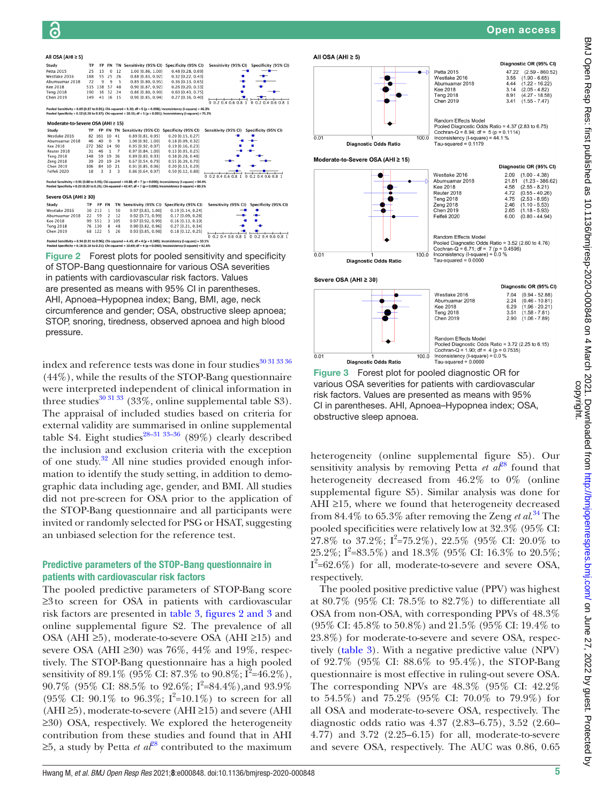### All OSA (AHI  $\geq$  5)

| Study                                                                                                                                                                                                                                      | TP        | FP        | FN             |                         |                                                 | TN Sensitivity (95% CI) Specificity (95% CI)                                                                       | Sensitivity (95% CI)<br>Specificity (95% CI)                  |
|--------------------------------------------------------------------------------------------------------------------------------------------------------------------------------------------------------------------------------------------|-----------|-----------|----------------|-------------------------|-------------------------------------------------|--------------------------------------------------------------------------------------------------------------------|---------------------------------------------------------------|
| Petta 2015                                                                                                                                                                                                                                 | 25        | 13        | $\mathbf 0$    | 12                      | 1.00 [0.86, 1.00]                               | $0.48$ [0.28, 0.69]                                                                                                |                                                               |
| Westlake 2016                                                                                                                                                                                                                              | 188       | 55        | 25             | 26                      | 0.88 [0.83, 0.92]                               | 0.32 [0.22, 0.43]                                                                                                  |                                                               |
| Abumuamar 2018                                                                                                                                                                                                                             | 72        | 9         | 9              | 5                       | 0.89 [0.80, 0.95]                               | 0.36 [0.13, 0.65]                                                                                                  |                                                               |
| Kee 2018                                                                                                                                                                                                                                   | 515       | 138       | 57             | 48                      | 0.90 [0.87, 0.92]                               | 0.26 [0.20, 0.33]                                                                                                  |                                                               |
| <b>Teng 2018</b>                                                                                                                                                                                                                           | 190       | 16        | 32             | 24                      | $0.86$ [0.80, 0.90]                             | $0.60$ [0.43, 0.75]                                                                                                |                                                               |
| Chen 2019                                                                                                                                                                                                                                  | 149       | 41        | 16             | 15                      | 0.90 [0.85, 0.94]                               | $0.27$ [0.16, 0.40]                                                                                                |                                                               |
|                                                                                                                                                                                                                                            |           |           |                |                         |                                                 |                                                                                                                    | 0, 0.2, 0.4, 0.6, 0.8, 1<br>$0.2$ 0.4 0.6 0.8 1<br>$^{\circ}$ |
|                                                                                                                                                                                                                                            |           |           |                |                         |                                                 | Pooled Sensitivity = 0.89 (0.87 to 0.91); Chi-squared = 9.30; df = 5 (p = 0.098); Inconsistency (I-square) = 46.2% |                                                               |
| Pooled Specificity = 0.32 (0.28 to 0.37); Chi-squared = 20.15; df = 5 (p = 0.001); Inconsistency (I-square) = 75.2%                                                                                                                        |           |           |                |                         |                                                 |                                                                                                                    |                                                               |
|                                                                                                                                                                                                                                            |           |           |                |                         |                                                 |                                                                                                                    |                                                               |
| Moderate-to-Severe OSA (AHI ≥ 15)                                                                                                                                                                                                          |           |           |                |                         |                                                 |                                                                                                                    |                                                               |
| Study                                                                                                                                                                                                                                      | <b>TP</b> | <b>FP</b> |                |                         | FN TN Sensitivity (95% CI) Specificity (95% CI) |                                                                                                                    | Sensitivity (95% CI) Specificity (95% CI)                     |
| Westlake 2016                                                                                                                                                                                                                              | 82        | 161       | 10             | 41                      | 0.89 [0.81, 0.95]                               | 0.20 [0.15, 0.27]                                                                                                  |                                                               |
| Abumuamar 2018                                                                                                                                                                                                                             | 46        | 40        | $\mathbf 0$    | 9                       | 1.00 [0.92, 1.00]                               | 0.18 [0.09, 0.32]                                                                                                  |                                                               |
| <b>Kee 2018</b>                                                                                                                                                                                                                            | 272       | 382       | 14             | 90                      | 0.95 [0.92, 0.97]                               | $0.19$ [0.16, 0.23]                                                                                                |                                                               |
| Reuter 2018                                                                                                                                                                                                                                | 31        | 46        | 1              | $\overline{7}$          | 0.97 [0.84, 1.00]                               | 0.13 [0.05, 0.25]                                                                                                  |                                                               |
| <b>Teng 2018</b>                                                                                                                                                                                                                           | 148       | 59        | 19             | 36                      | $0.89$ [0.83, 0.93]                             | $0.38$ [0.28, 0.48]                                                                                                |                                                               |
| Zeng 2018                                                                                                                                                                                                                                  | 39        | 20        | 19             | 24                      | 0.67 [0.54, 0.79]                               | 0.55 [0.39, 0.70]                                                                                                  |                                                               |
| Chen 2019                                                                                                                                                                                                                                  | 106       | 84        | 10             | 21                      | $0.91$ [0.85, 0.96]                             | 0.20 [0.13, 0.29]                                                                                                  |                                                               |
| Felfeli 2020                                                                                                                                                                                                                               | 18        | 3         | 3              | $\overline{\mathbf{3}}$ | 0.86 [0.64, 0.97]                               | $0.50$ [0.12, 0.88]                                                                                                |                                                               |
|                                                                                                                                                                                                                                            |           |           |                |                         |                                                 |                                                                                                                    | 0.020406081<br>0, 0.2, 0.4, 0.6, 0.8, 1                       |
| Pooled Sensitivity = 0.91 (0.88 to 0.93); Chi-squared = 44.88; df = 7 (p = 0.000); Inconsistency (I-square) = 84.4%<br>Pooled Specificity = 0.23 (0.20 to 0.25); Chi-squared = 42.47; df = 7 (p = 0.000); Inconsistency (I-square) = 83.5% |           |           |                |                         |                                                 |                                                                                                                    |                                                               |
|                                                                                                                                                                                                                                            |           |           |                |                         |                                                 |                                                                                                                    |                                                               |
| Severe OSA (AHI ≥ 30)                                                                                                                                                                                                                      |           |           |                |                         |                                                 |                                                                                                                    |                                                               |
|                                                                                                                                                                                                                                            |           |           |                |                         |                                                 |                                                                                                                    |                                                               |
| Study                                                                                                                                                                                                                                      | TP        | FP        | <b>FN</b>      |                         | TN Sensitivity (95% CI)                         | Specificity (95% CI)                                                                                               | Sensitivity (95% CI) Specificity (95% CI)                     |
| Westlake 2016                                                                                                                                                                                                                              | 30        | 213       | $\mathbf{1}$   | 50                      | 0.97 [0.83, 1.00]                               | $0.19$ [0.14, 0.24]                                                                                                |                                                               |
| Abumuamar 2018                                                                                                                                                                                                                             | 22        | 59        | $\overline{c}$ | 12                      | $0.92$ [0.73, 0.99]                             | $0.17$ [0.09, 0.28]                                                                                                |                                                               |
| <b>Kee 2018</b>                                                                                                                                                                                                                            | 99        | 551       | 3              | 105                     | 0.97 [0.92, 0.99]                               | 0.16 [0.13, 0.19]                                                                                                  |                                                               |
| <b>Teng 2018</b>                                                                                                                                                                                                                           | 76        | 130       | 8              | 48                      | 0.90 [0.82, 0.96]                               | 0.27 [0.21, 0.34]                                                                                                  |                                                               |
| Chen 2019                                                                                                                                                                                                                                  | 68        | 122       | 5              | 26                      | $0.93$ [0.85, 0.98]                             | $0.18$ [0.12, 0.25]                                                                                                |                                                               |
|                                                                                                                                                                                                                                            |           |           |                |                         |                                                 |                                                                                                                    | $0$ 0.2 0.4 0.6 0.8 1<br>$0$ 0.2 0.4 0.6 0.8 1                |

<span id="page-4-0"></span>Pooled Sensitivity = 0.94 (0.91 to 0.96); Chi-squared = 4.45; df = 4 (p = 0.349); Inconsistency (I-square) = 10.1%<br>Pooled Specificity = 0.18 (0.16 to 0.21); Chi-squared = 10.69; df = 4 (p = 0.030); Inconsistency (I-square)

Figure 2 Forest plots for pooled sensitivity and specificity of STOP-Bang questionnaire for various OSA severities in patients with cardiovascular risk factors. Values are presented as means with 95% CI in parentheses. AHI, Apnoea–Hypopnea index; Bang, BMI, age, neck circumference and gender; OSA, obstructive sleep apnoea; STOP, snoring, tiredness, observed apnoea and high blood pressure.

index and reference tests was done in four studies  $30\,31\,33\,36$ (44%), while the results of the STOP-Bang questionnaire were interpreted independent of clinical information in three studies<sup>[30 31 33](#page-7-11)</sup> (33%, [online supplemental table S3](https://dx.doi.org/10.1136/bmjresp-2020-000848)). The appraisal of included studies based on criteria for external validity are summarised in [online supplemental](https://dx.doi.org/10.1136/bmjresp-2020-000848) [table S4.](https://dx.doi.org/10.1136/bmjresp-2020-000848) Eight studies<sup>28–31 33–36</sup> (89%) clearly described the inclusion and exclusion criteria with the exception of one study.[32](#page-7-14) All nine studies provided enough information to identify the study setting, in addition to demographic data including age, gender, and BMI. All studies did not pre-screen for OSA prior to the application of the STOP-Bang questionnaire and all participants were invited or randomly selected for PSG or HSAT, suggesting an unbiased selection for the reference test.

### Predictive parameters of the STOP-Bang questionnaire in patients with cardiovascular risk factors

The pooled predictive parameters of STOP-Bang score ≥3to screen for OSA in patients with cardiovascular risk factors are presented in [table](#page-5-0) 3, figures [2 and 3](#page-4-0) and [online supplemental figure S2](https://dx.doi.org/10.1136/bmjresp-2020-000848). The prevalence of all OSA (AHI ≥5), moderate-to-severe OSA (AHI ≥15) and severe OSA (AHI ≥30) was 76%, 44% and 19%, respectively. The STOP-Bang questionnaire has a high pooled sensitivity of 89.1% (95% CI: 87.3% to 90.8%;  $\vec{I}^2$ =46.2%), 90.7% (95% CI: 88.5% to 92.6%;  $I^2=84.4\%$ ), and 93.9% (95% CI: 90.1% to 96.3%;  $I^2=10.1\%$ ) to screen for all (AHI ≥5), moderate-to-severe (AHI ≥15) and severe (AHI ≥30) OSA, respectively. We explored the heterogeneity contribution from these studies and found that in AHI  $≥5$ , a study by Petta *et al*<sup>28</sup> contributed to the maximum

### All OSA (AHI  $\geq$  5)





47.22 (2.59 - 80.52)<br>47.44 (1.22 - 16.52)<br>4.44 (1.22 - 16.22)<br>3.14 (2.05 - 4.82)<br>8.91 (4.27 - 18.58) Westlake 2016 Abumuamar 2018 **Kee 2018** Teng 2018 Chen 2019  $3.41$  $(1.55 - 7.47)$ Random Effects Model<br>Pooled Diagnostic Odds Ratio = 4.37 (2.83 to 6.75)<br>Cochran-Q = 8.94; df = 5 (p = 0.1114)<br>Inconsistency (l-square) = 44.1 % Tau-squared =  $0.1179$ Diagnostic OR (95% CI) Westlake 2016 2.09 (1.00 - 4.38)<br>21.81 (1.23 - 386. Abumuamar 2018  $(1.00 + 386 62)$  $(1.23 - 386.6$ <br>  $(2.55 - 8.21)$ <br>  $(0.55 - 40.26)$ <br>  $(2.53 - 8.95)$ <br>  $(1.10 - 5.53)$ <br>  $(1.18 - 5.93)$  $4.58$ <br> $4.72$ Kee 2018 Reuter 2018 **Teng 2018** 4.75 Zeng 2018<br>Chen 2019 2.46 2.65 Felfeli 2020  $6.00$  $(0.80 - 44.94)$ 

Open access

Diagnostic OR (95% CI)

Random Effects Model Nanoun Lineux wobel<br>Pooled Diagnostic Odds Ratio = 3.52 (2.60 to 4.76)<br>Cochran-Q = 6.71; df = 7 (p = 0.4596)<br>Inconsistency (l-square) = 0.0 %<br>Tau-squared = 0.0000



Figure 3 Forest plot for pooled diagnostic OR for various OSA severities for patients with cardiovascular risk factors. Values are presented as means with 95% CI in parentheses. AHI, Apnoea–Hypopnea index; OSA, obstructive sleep apnoea.

heterogeneity [\(online supplemental figure S5\)](https://dx.doi.org/10.1136/bmjresp-2020-000848). Our sensitivity analysis by removing Petta *et*  $a\ell^{28}$  found that heterogeneity decreased from 46.2% to 0% [\(online](https://dx.doi.org/10.1136/bmjresp-2020-000848) [supplemental figure S5](https://dx.doi.org/10.1136/bmjresp-2020-000848)). Similar analysis was done for AHI ≥15, where we found that heterogeneity decreased from 84.4% to 65.3% after removing the Zeng *et al*. [34](#page-7-21) The pooled specificities were relatively low at 32.3% (95% CI: 27.8% to 37.2%;  $I^2 = 75.2\%$ ), 22.5% (95% CI: 20.0% to 25.2%;  $I^2 = 83.5\%$ ) and 18.3% (95% CI: 16.3% to 20.5%;  $I^2$ =62.6%) for all, moderate-to-severe and severe OSA, respectively.

The pooled positive predictive value (PPV) was highest at 80.7% (95% CI: 78.5% to 82.7%) to differentiate all OSA from non-OSA, with corresponding PPVs of 48.3% (95% CI: 45.8% to 50.8%) and 21.5% (95% CI: 19.4% to 23.8%) for moderate-to-severe and severe OSA, respectively [\(table](#page-5-0) 3). With a negative predictive value (NPV) of 92.7% (95% CI: 88.6% to 95.4%), the STOP-Bang questionnaire is most effective in ruling-out severe OSA. The corresponding NPVs are 48.3% (95% CI: 42.2% to 54.5%) and 75.2% (95% CI: 70.0% to 79.9%) for all OSA and moderate-to-severe OSA, respectively. The diagnostic odds ratio was 4.37 (2.83–6.75), 3.52 (2.60– 4.77) and 3.72 (2.25–6.15) for all, moderate-to-severe and severe OSA, respectively. The AUC was 0.86, 0.65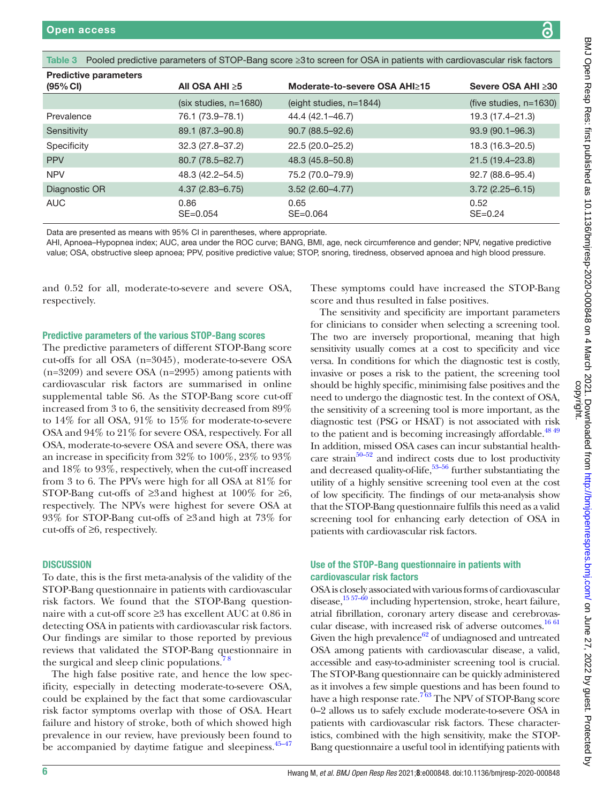<span id="page-5-0"></span>Table 3 Pooled predictive parameters of STOP-Bang score ≥3to screen for OSA in patients with cardiovascular risk factors

| All OSA AHI $\geq 5$     | Moderate-to-severe OSA AHI≥15 | Severe OSA AHI ≥30        |
|--------------------------|-------------------------------|---------------------------|
| $(six$ studies, $n=1680$ | $(eight$ studies, $n=1844$ )  | (five studies, $n=1630$ ) |
| 76.1 (73.9–78.1)         | 44.4 (42.1–46.7)              | 19.3 (17.4-21.3)          |
| 89.1 (87.3-90.8)         | $90.7(88.5 - 92.6)$           | $93.9(90.1 - 96.3)$       |
| 32.3 (27.8-37.2)         | 22.5 (20.0-25.2)              | 18.3 (16.3-20.5)          |
| 80.7 (78.5-82.7)         | 48.3 (45.8–50.8)              | $21.5(19.4 - 23.8)$       |
| 48.3 (42.2–54.5)         | 75.2 (70.0–79.9)              | $92.7(88.6 - 95.4)$       |
| $4.37(2.83 - 6.75)$      | $3.52(2.60 - 4.77)$           | $3.72(2.25 - 6.15)$       |
| 0.86<br>$SE = 0.054$     | 0.65<br>$SE = 0.064$          | 0.52<br>$SE = 0.24$       |
|                          |                               |                           |

Data are presented as means with 95% CI in parentheses, where appropriate.

AHI, Apnoea–Hypopnea index; AUC, area under the ROC curve; BANG, BMI, age, neck circumference and gender; NPV, negative predictive value; OSA, obstructive sleep apnoea; PPV, positive predictive value; STOP, snoring, tiredness, observed apnoea and high blood pressure.

and 0.52 for all, moderate-to-severe and severe OSA, respectively.

Predictive parameters of the various STOP-Bang scores

The predictive parameters of different STOP-Bang score cut-offs for all OSA (n=3045), moderate-to-severe OSA (n=3209) and severe OSA (n=2995) among patients with cardiovascular risk factors are summarised in [online](https://dx.doi.org/10.1136/bmjresp-2020-000848) [supplemental table S6.](https://dx.doi.org/10.1136/bmjresp-2020-000848) As the STOP-Bang score cut-off increased from 3 to 6, the sensitivity decreased from 89% to 14% for all OSA, 91% to 15% for moderate-to-severe OSA and 94% to 21% for severe OSA, respectively. For all OSA, moderate-to-severe OSA and severe OSA, there was an increase in specificity from 32% to 100%, 23% to 93% and 18% to 93%, respectively, when the cut-off increased from 3 to 6. The PPVs were high for all OSA at 81% for STOP-Bang cut-offs of  $\geq 3$  and highest at 100% for  $\geq 6$ , respectively. The NPVs were highest for severe OSA at 93% for STOP-Bang cut-offs of ≥3and high at 73% for cut-offs of ≥6, respectively.

### **DISCUSSION**

To date, this is the first meta-analysis of the validity of the STOP-Bang questionnaire in patients with cardiovascular risk factors. We found that the STOP-Bang questionnaire with a cut-off score ≥3 has excellent AUC at 0.86 in detecting OSA in patients with cardiovascular risk factors. Our findings are similar to those reported by previous reviews that validated the STOP-Bang questionnaire in the surgical and sleep clinic populations.

The high false positive rate, and hence the low specificity, especially in detecting moderate-to-severe OSA, could be explained by the fact that some cardiovascular risk factor symptoms overlap with those of OSA. Heart failure and history of stroke, both of which showed high prevalence in our review, have previously been found to be accompanied by daytime fatigue and sleepiness.<sup>45–47</sup>

These symptoms could have increased the STOP-Bang score and thus resulted in false positives.

The sensitivity and specificity are important parameters for clinicians to consider when selecting a screening tool. The two are inversely proportional, meaning that high sensitivity usually comes at a cost to specificity and vice versa. In conditions for which the diagnostic test is costly, invasive or poses a risk to the patient, the screening tool should be highly specific, minimising false positives and the need to undergo the diagnostic test. In the context of OSA, the sensitivity of a screening tool is more important, as the diagnostic test (PSG or HSAT) is not associated with risk to the patient and is becoming increasingly affordable.<sup>48 49</sup> In addition, missed OSA cases can incur substantial health-care strain<sup>[50–52](#page-7-24)</sup> and indirect costs due to lost productivity and decreased quality-of-life,<sup>53-56</sup> further substantiating the utility of a highly sensitive screening tool even at the cost of low specificity. The findings of our meta-analysis show that the STOP-Bang questionnaire fulfils this need as a valid screening tool for enhancing early detection of OSA in patients with cardiovascular risk factors.

### Use of the STOP-Bang questionnaire in patients with cardiovascular risk factors

OSA is closely associated with various forms of cardiovascular disease,<sup>[15 57–60](#page-7-3)</sup> including hypertension, stroke, heart failure, atrial fibrillation, coronary artery disease and cerebrovas-cular disease, with increased risk of adverse outcomes.<sup>[16 61](#page-7-4)</sup> Given the high prevalence $62$  of undiagnosed and untreated OSA among patients with cardiovascular disease, a valid, accessible and easy-to-administer screening tool is crucial. The STOP-Bang questionnaire can be quickly administered as it involves a few simple questions and has been found to have a high response rate.<sup>[7 63](#page-6-3)</sup> The NPV of STOP-Bang score 0–2 allows us to safely exclude moderate-to-severe OSA in patients with cardiovascular risk factors. These characteristics, combined with the high sensitivity, make the STOP-Bang questionnaire a useful tool in identifying patients with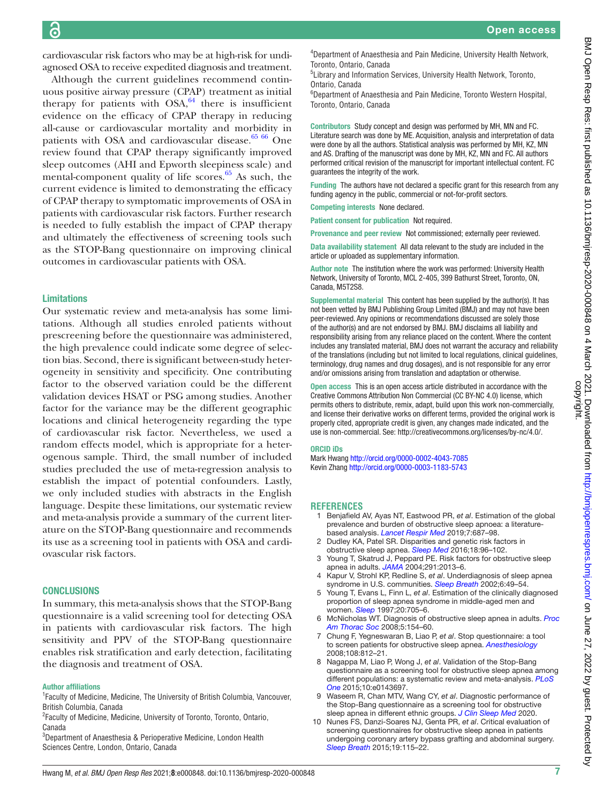cardiovascular risk factors who may be at high-risk for undiagnosed OSA to receive expedited diagnosis and treatment.

Although the current guidelines recommend continuous positive airway pressure (CPAP) treatment as initial therapy for patients with  $OSA$ ,  $64$  there is insufficient evidence on the efficacy of CPAP therapy in reducing all-cause or cardiovascular mortality and morbidity in patients with OSA and cardiovascular disease. $65\,66$  One review found that CPAP therapy significantly improved sleep outcomes (AHI and Epworth sleepiness scale) and mental-component quality of life scores. $65$  As such, the current evidence is limited to demonstrating the efficacy of CPAP therapy to symptomatic improvements of OSA in patients with cardiovascular risk factors. Further research is needed to fully establish the impact of CPAP therapy and ultimately the effectiveness of screening tools such as the STOP-Bang questionnaire on improving clinical outcomes in cardiovascular patients with OSA.

### Limitations

Our systematic review and meta-analysis has some limitations. Although all studies enroled patients without prescreening before the questionnaire was administered, the high prevalence could indicate some degree of selection bias. Second, there is significant between-study heterogeneity in sensitivity and specificity. One contributing factor to the observed variation could be the different validation devices HSAT or PSG among studies. Another factor for the variance may be the different geographic locations and clinical heterogeneity regarding the type of cardiovascular risk factor. Nevertheless, we used a random effects model, which is appropriate for a heterogenous sample. Third, the small number of included studies precluded the use of meta-regression analysis to establish the impact of potential confounders. Lastly, we only included studies with abstracts in the English language. Despite these limitations, our systematic review and meta-analysis provide a summary of the current literature on the STOP-Bang questionnaire and recommends its use as a screening tool in patients with OSA and cardiovascular risk factors.

### **CONCLUSIONS**

In summary, this meta-analysis shows that the STOP-Bang questionnaire is a valid screening tool for detecting OSA in patients with cardiovascular risk factors. The high sensitivity and PPV of the STOP-Bang questionnaire enables risk stratification and early detection, facilitating the diagnosis and treatment of OSA.

### Author affiliations

<sup>1</sup> Faculty of Medicine, Medicine, The University of British Columbia, Vancouver, British Columbia, Canada

<sup>2</sup> Faculty of Medicine, Medicine, University of Toronto, Toronto, Ontario, Canada

<sup>3</sup>Department of Anaesthesia & Perioperative Medicine, London Health Sciences Centre, London, Ontario, Canada

4 Department of Anaesthesia and Pain Medicine, University Health Network, Toronto, Ontario, Canada

5 Library and Information Services, University Health Network, Toronto, Ontario, Canada

6 Department of Anaesthesia and Pain Medicine, Toronto Western Hospital, Toronto, Ontario, Canada

Contributors Study concept and design was performed by MH, MN and FC. Literature search was done by ME. Acquisition, analysis and interpretation of data were done by all the authors. Statistical analysis was performed by MH, KZ, MN and AS. Drafting of the manuscript was done by MH, KZ, MN and FC. All authors performed critical revision of the manuscript for important intellectual content. FC guarantees the integrity of the work.

Funding The authors have not declared a specific grant for this research from any funding agency in the public, commercial or not-for-profit sectors.

Competing interests None declared.

Patient consent for publication Not required.

Provenance and peer review Not commissioned; externally peer reviewed.

Data availability statement All data relevant to the study are included in the article or uploaded as supplementary information.

Author note The institution where the work was performed: University Health Network, University of Toronto, MCL 2-405, 399 Bathurst Street, Toronto, ON, Canada, M5T2S8.

Supplemental material This content has been supplied by the author(s). It has not been vetted by BMJ Publishing Group Limited (BMJ) and may not have been peer-reviewed. Any opinions or recommendations discussed are solely those of the author(s) and are not endorsed by BMJ. BMJ disclaims all liability and responsibility arising from any reliance placed on the content. Where the content includes any translated material, BMJ does not warrant the accuracy and reliability of the translations (including but not limited to local regulations, clinical guidelines, terminology, drug names and drug dosages), and is not responsible for any error and/or omissions arising from translation and adaptation or otherwise.

Open access This is an open access article distributed in accordance with the Creative Commons Attribution Non Commercial (CC BY-NC 4.0) license, which permits others to distribute, remix, adapt, build upon this work non-commercially, and license their derivative works on different terms, provided the original work is properly cited, appropriate credit is given, any changes made indicated, and the use is non-commercial. See:<http://creativecommons.org/licenses/by-nc/4.0/>.

### ORCID iDs

Mark Hwang<http://orcid.org/0000-0002-4043-7085> Kevin Zhang<http://orcid.org/0000-0003-1183-5743>

### **REFERENCES**

- <span id="page-6-0"></span>1 Benjafield AV, Ayas NT, Eastwood PR, *et al*. Estimation of the global prevalence and burden of obstructive sleep apnoea: a literaturebased analysis. *[Lancet Respir Med](http://dx.doi.org/10.1016/S2213-2600(19)30198-5)* 2019;7:687–98.
- 2 Dudley KA, Patel SR. Disparities and genetic risk factors in obstructive sleep apnea. *[Sleep Med](http://dx.doi.org/10.1016/j.sleep.2015.01.015)* 2016;18:96–102.
- <span id="page-6-1"></span>3 Young T, Skatrud J, Peppard PE. Risk factors for obstructive sleep apnea in adults. *[JAMA](http://dx.doi.org/10.1001/jama.291.16.2013)* 2004;291:2013–6.
- 4 Kapur V, Strohl KP, Redline S, *et al*. Underdiagnosis of sleep apnea syndrome in U.S. communities. *[Sleep Breath](http://dx.doi.org/10.1055/s-2002-32318)* 2002;6:49–54.
- 5 Young T, Evans L, Finn L, *et al*. Estimation of the clinically diagnosed proportion of sleep apnea syndrome in middle-aged men and women. *[Sleep](http://dx.doi.org/10.1093/sleep/20.9.705)* 1997;20:705–6.
- <span id="page-6-2"></span>6 McNicholas WT. Diagnosis of obstructive sleep apnea in adults. *[Proc](http://dx.doi.org/10.1513/pats.200708-118MG) [Am Thorac Soc](http://dx.doi.org/10.1513/pats.200708-118MG)* 2008;5:154–60.
- <span id="page-6-3"></span>7 Chung F, Yegneswaran B, Liao P, *et al*. Stop questionnaire: a tool to screen patients for obstructive sleep apnea. *[Anesthesiology](http://dx.doi.org/10.1097/ALN.0b013e31816d83e4)* 2008;108:812–21.
- 8 Nagappa M, Liao P, Wong J, *et al*. Validation of the Stop-Bang questionnaire as a screening tool for obstructive sleep apnea among different populations: a systematic review and meta-analysis. *[PLoS](http://dx.doi.org/10.1371/journal.pone.0143697)  [One](http://dx.doi.org/10.1371/journal.pone.0143697)* 2015;10:e0143697.
- 9 Waseem R, Chan MTV, Wang CY, *et al*. Diagnostic performance of the Stop-Bang questionnaire as a screening tool for obstructive sleep apnea in different ethnic groups. *[J Clin Sleep Med](http://dx.doi.org/10.5664/jcsm.8940)* 2020.
- 10 Nunes FS, Danzi-Soares NJ, Genta PR, *et al*. Critical evaluation of screening questionnaires for obstructive sleep apnea in patients undergoing coronary artery bypass grafting and abdominal surgery. *[Sleep Breath](http://dx.doi.org/10.1007/s11325-014-0971-3)* 2015;19:115–22.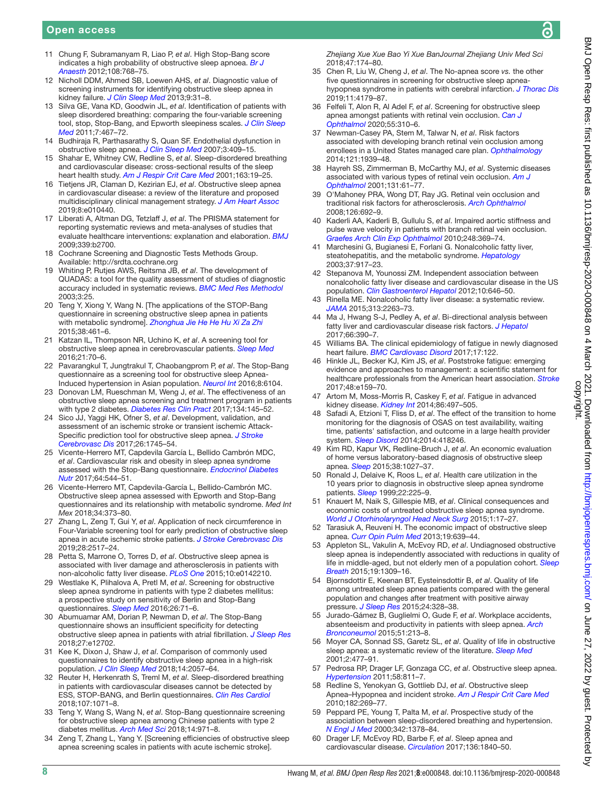႙

### Open access

- 11 Chung F, Subramanyam R, Liao P, *et al*. High Stop-Bang score indicates a high probability of obstructive sleep apnoea. *[Br J](http://dx.doi.org/10.1093/bja/aes022)  [Anaesth](http://dx.doi.org/10.1093/bja/aes022)* 2012;108:768–75.
- <span id="page-7-0"></span>12 Nicholl DDM, Ahmed SB, Loewen AHS, *et al*. Diagnostic value of screening instruments for identifying obstructive sleep apnea in kidney failure. *[J Clin Sleep Med](http://dx.doi.org/10.5664/jcsm.2334)* 2013;9:31–8.
- <span id="page-7-1"></span>13 Silva GE, Vana KD, Goodwin JL, *et al*. Identification of patients with sleep disordered breathing: comparing the four-variable screening tool, stop, Stop-Bang, and Epworth sleepiness scales. *[J Clin Sleep](http://dx.doi.org/10.5664/JCSM.1308)  [Med](http://dx.doi.org/10.5664/JCSM.1308)* 2011;7:467–72.
- <span id="page-7-2"></span>14 Budhiraja R, Parthasarathy S, Quan SF. Endothelial dysfunction in obstructive sleep apnea. *[J Clin Sleep Med](http://dx.doi.org/10.5664/jcsm.26864)* 2007;3:409–15.
- <span id="page-7-3"></span>15 Shahar E, Whitney CW, Redline S, *et al*. Sleep-disordered breathing and cardiovascular disease: cross-sectional results of the sleep heart health study. *[Am J Respir Crit Care Med](http://dx.doi.org/10.1164/ajrccm.163.1.2001008)* 2001;163:19–25.
- <span id="page-7-4"></span>16 Tietjens JR, Claman D, Kezirian EJ, *et al*. Obstructive sleep apnea in cardiovascular disease: a review of the literature and proposed multidisciplinary clinical management strategy. *[J Am Heart Assoc](http://dx.doi.org/10.1161/JAHA.118.010440)* 2019;8:e010440.
- <span id="page-7-5"></span>17 Liberati A, Altman DG, Tetzlaff J, *et al*. The PRISMA statement for reporting systematic reviews and meta-analyses of studies that evaluate healthcare interventions: explanation and elaboration. *[BMJ](http://dx.doi.org/10.1136/bmj.b2700)* 2009;339:b2700.
- <span id="page-7-6"></span>18 Cochrane Screening and Diagnostic Tests Methods Group. Available:<http://srdta.cochrane.org>
- <span id="page-7-7"></span>19 Whiting P, Rutjes AWS, Reitsma JB, *et al*. The development of QUADAS: a tool for the quality assessment of studies of diagnostic accuracy included in systematic reviews. *[BMC Med Res Methodol](http://dx.doi.org/10.1186/1471-2288-3-25)* 2003;3:25.
- <span id="page-7-8"></span>20 Teng Y, Xiong Y, Wang N. [The applications of the STOP-Bang questionnaire in screening obstructive sleep apnea in patients with metabolic syndrome]. *[Zhonghua Jie He He Hu Xi Za Zhi](http://www.ncbi.nlm.nih.gov/pubmed/26702861)* 2015;38:461–6.
- 21 Katzan IL, Thompson NR, Uchino K, *et al*. A screening tool for obstructive sleep apnea in cerebrovascular patients. *[Sleep Med](http://dx.doi.org/10.1016/j.sleep.2016.02.001)* 2016;21:70–6.
- 22 Pavarangkul T, Jungtrakul T, Chaobangprom P, *et al*. The Stop-Bang questionnaire as a screening tool for obstructive sleep Apnea-Induced hypertension in Asian population. *[Neurol Int](http://dx.doi.org/10.4081/ni.2016.6104)* 2016;8:6104.
- 23 Donovan LM, Rueschman M, Weng J, *et al*. The effectiveness of an obstructive sleep apnea screening and treatment program in patients with type 2 diabetes. *[Diabetes Res Clin Pract](http://dx.doi.org/10.1016/j.diabres.2017.10.013)* 2017;134:145–52.
- 24 Sico JJ, Yaggi HK, Ofner S, *et al*. Development, validation, and assessment of an ischemic stroke or transient ischemic Attack-Specific prediction tool for obstructive sleep apnea. *[J Stroke](http://dx.doi.org/10.1016/j.jstrokecerebrovasdis.2017.03.042)  [Cerebrovasc Dis](http://dx.doi.org/10.1016/j.jstrokecerebrovasdis.2017.03.042)* 2017;26:1745–54.
- 25 Vicente-Herrero MT, Capdevila García L, Bellido Cambrón MDC, *et al*. Cardiovascular risk and obesity in sleep apnea syndrome assessed with the Stop-Bang questionnaire. *[Endocrinol Diabetes](http://dx.doi.org/10.1016/j.endinu.2017.09.005)  [Nutr](http://dx.doi.org/10.1016/j.endinu.2017.09.005)* 2017;64:544–51.
- 26 Vicente-Herrero MT, Capdevila-García L, Bellido-Cambrón MC. Obstructive sleep apnea assessed with Epworth and Stop-Bang questionnaires and its relationship with metabolic syndrome. *Med Int Mex* 2018;34:373–80.
- 27 Zhang L, Zeng T, Gui Y, *et al*. Application of neck circumference in Four-Variable screening tool for early prediction of obstructive sleep apnea in acute ischemic stroke patients. *[J Stroke Cerebrovasc Dis](http://dx.doi.org/10.1016/j.jstrokecerebrovasdis.2019.06.011)* 2019;28:2517–24.
- <span id="page-7-9"></span>28 Petta S, Marrone O, Torres D, *et al*. Obstructive sleep apnea is associated with liver damage and atherosclerosis in patients with non-alcoholic fatty liver disease. *[PLoS One](http://dx.doi.org/10.1371/journal.pone.0142210)* 2015;10:e0142210.
- <span id="page-7-13"></span>29 Westlake K, Plihalova A, Pretl M, *et al*. Screening for obstructive sleep apnea syndrome in patients with type 2 diabetes mellitus: a prospective study on sensitivity of Berlin and Stop-Bang questionnaires. *[Sleep Med](http://dx.doi.org/10.1016/j.sleep.2016.07.009)* 2016;26:71–6.
- <span id="page-7-11"></span>30 Abumuamar AM, Dorian P, Newman D, *et al*. The Stop-Bang questionnaire shows an insufficient specificity for detecting obstructive sleep apnea in patients with atrial fibrillation. *[J Sleep Res](http://dx.doi.org/10.1111/jsr.12702)* 2018;27:e12702.
- <span id="page-7-10"></span>31 Kee K, Dixon J, Shaw J, *et al*. Comparison of commonly used questionnaires to identify obstructive sleep apnea in a high-risk population. *[J Clin Sleep Med](http://dx.doi.org/10.5664/jcsm.7536)* 2018;14:2057–64.
- <span id="page-7-14"></span>32 Reuter H, Herkenrath S, Treml M, *et al*. Sleep-disordered breathing in patients with cardiovascular diseases cannot be detected by ESS, STOP-BANG, and Berlin questionnaires. *[Clin Res Cardiol](http://dx.doi.org/10.1007/s00392-018-1282-7)* 2018;107:1071–8.
- <span id="page-7-12"></span>33 Teng Y, Wang S, Wang N, *et al*. Stop-Bang questionnaire screening for obstructive sleep apnea among Chinese patients with type 2 diabetes mellitus. *[Arch Med Sci](http://dx.doi.org/10.5114/aoms.2018.73984)* 2018;14:971–8.
- <span id="page-7-21"></span>34 Zeng T, Zhang L, Yang Y. [Screening efficiencies of obstructive sleep apnea screening scales in patients with acute ischemic stroke].

*Zhejiang Xue Xue Bao Yi Xue BanJournal Zhejiang Univ Med Sci* 2018;47:174–80.

- <span id="page-7-15"></span>35 Chen R, Liu W, Cheng J, *et al*. The No-apnea score *vs.* the other five questionnaires in screening for obstructive sleep apneahypopnea syndrome in patients with cerebral infarction. *[J Thorac Dis](http://dx.doi.org/10.21037/jtd.2019.09.75)* 2019;11:4179–87.
- <span id="page-7-16"></span>36 Felfeli T, Alon R, Al Adel F, *et al*. Screening for obstructive sleep apnea amongst patients with retinal vein occlusion. *[Can J](http://dx.doi.org/10.1016/j.jcjo.2020.03.004)  [Ophthalmol](http://dx.doi.org/10.1016/j.jcjo.2020.03.004)* 2020;55:310–6.
- <span id="page-7-17"></span>37 Newman-Casey PA, Stem M, Talwar N, *et al*. Risk factors associated with developing branch retinal vein occlusion among enrollees in a United States managed care plan. *[Ophthalmology](http://dx.doi.org/10.1016/j.ophtha.2014.04.045)* 2014;121:1939–48.
- 38 Hayreh SS, Zimmerman B, McCarthy MJ, *et al*. Systemic diseases associated with various types of retinal vein occlusion. *[Am J](http://dx.doi.org/10.1016/S0002-9394(00)00709-1)  [Ophthalmol](http://dx.doi.org/10.1016/S0002-9394(00)00709-1)* 2001;131:61–77.
- <span id="page-7-18"></span>39 O'Mahoney PRA, Wong DT, Ray JG. Retinal vein occlusion and traditional risk factors for atherosclerosis. *[Arch Ophthalmol](http://dx.doi.org/10.1001/archopht.126.5.692)* 2008;126:692–9.
- 40 Kaderli AA, Kaderli B, Gullulu S, *et al*. Impaired aortic stiffness and pulse wave velocity in patients with branch retinal vein occlusion. *[Graefes Arch Clin Exp Ophthalmol](http://dx.doi.org/10.1007/s00417-009-1271-7)* 2010;248:369–74.
- <span id="page-7-19"></span>41 Marchesini G, Bugianesi E, Forlani G. Nonalcoholic fatty liver, steatohepatitis, and the metabolic syndrome. *[Hepatology](http://dx.doi.org/10.1053/jhep.2003.50161)* 2003;37:917–23.
- 42 Stepanova M, Younossi ZM. Independent association between nonalcoholic fatty liver disease and cardiovascular disease in the US population. *[Clin Gastroenterol Hepatol](http://dx.doi.org/10.1016/j.cgh.2011.12.039)* 2012;10:646–50.
- 43 Rinella ME. Nonalcoholic fatty liver disease: a systematic review. *[JAMA](http://dx.doi.org/10.1001/jama.2015.5370)* 2015;313:2263–73.
- <span id="page-7-20"></span>44 Ma J, Hwang S-J, Pedley A, *et al*. Bi-directional analysis between fatty liver and cardiovascular disease risk factors. *[J Hepatol](http://dx.doi.org/10.1016/j.jhep.2016.09.022)* 2017;66:390–7.
- <span id="page-7-22"></span>45 Williams BA. The clinical epidemiology of fatigue in newly diagnosed heart failure. *[BMC Cardiovasc Disord](http://dx.doi.org/10.1186/s12872-017-0555-9)* 2017;17:122.
- 46 Hinkle JL, Becker KJ, Kim JS, *et al*. Poststroke fatigue: emerging evidence and approaches to management: a scientific statement for healthcare professionals from the American heart association. *[Stroke](http://dx.doi.org/10.1161/STR.0000000000000132)* 2017;48:e159–70.
- 47 Artom M, Moss-Morris R, Caskey F, *et al*. Fatigue in advanced kidney disease. *[Kidney Int](http://dx.doi.org/10.1038/ki.2014.86)* 2014;86:497–505.
- <span id="page-7-23"></span>48 Safadi A, Etzioni T, Fliss D, *et al*. The effect of the transition to home monitoring for the diagnosis of OSAS on test availability, waiting time, patients' satisfaction, and outcome in a large health provider system. *[Sleep Disord](http://dx.doi.org/10.1155/2014/418246)* 2014;2014:418246.
- 49 Kim RD, Kapur VK, Redline-Bruch J, *et al*. An economic evaluation of home versus laboratory-based diagnosis of obstructive sleep apnea. *[Sleep](http://dx.doi.org/10.5665/sleep.4804)* 2015;38:1027–37.
- <span id="page-7-24"></span>50 Ronald J, Delaive K, Roos L, *et al*. Health care utilization in the 10 years prior to diagnosis in obstructive sleep apnea syndrome patients. *[Sleep](http://dx.doi.org/10.1093/sleep/22.2.225)* 1999;22:225–9.
- 51 Knauert M, Naik S, Gillespie MB, *et al*. Clinical consequences and economic costs of untreated obstructive sleep apnea syndrome. *[World J Otorhinolaryngol Head Neck Surg](http://dx.doi.org/10.1016/j.wjorl.2015.08.001)* 2015;1:17–27.
- 52 Tarasiuk A, Reuveni H. The economic impact of obstructive sleep apnea. *[Curr Opin Pulm Med](http://dx.doi.org/10.1097/MCP.0b013e3283659e1e)* 2013;19:639–44.
- <span id="page-7-25"></span>53 Appleton SL, Vakulin A, McEvoy RD, *et al*. Undiagnosed obstructive sleep apnea is independently associated with reductions in quality of life in middle-aged, but not elderly men of a population cohort. *[Sleep](http://dx.doi.org/10.1007/s11325-015-1171-5)  [Breath](http://dx.doi.org/10.1007/s11325-015-1171-5)* 2015;19:1309–16.
- 54 Bjornsdottir E, Keenan BT, Eysteinsdottir B, *et al*. Quality of life among untreated sleep apnea patients compared with the general population and changes after treatment with positive airway pressure. *[J Sleep Res](http://dx.doi.org/10.1111/jsr.12262)* 2015;24:328–38.
- 55 Jurado-Gámez B, Guglielmi O, Gude F, *et al*. Workplace accidents, absenteeism and productivity in patients with sleep apnea. *[Arch](http://dx.doi.org/10.1016/j.arbr.2014.12.002)  [Bronconeumol](http://dx.doi.org/10.1016/j.arbr.2014.12.002)* 2015;51:213–8.
- 56 Moyer CA, Sonnad SS, Garetz SL, *et al*. Quality of life in obstructive sleep apnea: a systematic review of the literature. *[Sleep Med](http://dx.doi.org/10.1016/S1389-9457(01)00072-7)* 2001;2:477–91.
- 57 Pedrosa RP, Drager LF, Gonzaga CC, *et al*. Obstructive sleep apnea. *[Hypertension](http://dx.doi.org/10.1161/HYPERTENSIONAHA.111.179788)* 2011;58:811–7.
- 58 Redline S, Yenokyan G, Gottlieb DJ, *et al*. Obstructive sleep Apnea–Hypopnea and incident stroke. *[Am J Respir Crit Care Med](http://dx.doi.org/10.1164/rccm.200911-1746OC)* 2010;182:269–77.
- 59 Peppard PE, Young T, Palta M, *et al*. Prospective study of the association between sleep-disordered breathing and hypertension. *[N Engl J Med](http://dx.doi.org/10.1056/NEJM200005113421901)* 2000;342:1378–84.
- 60 Drager LF, McEvoy RD, Barbe F, *et al*. Sleep apnea and cardiovascular disease. *[Circulation](http://dx.doi.org/10.1161/CIRCULATIONAHA.117.029400)* 2017;136:1840–50.